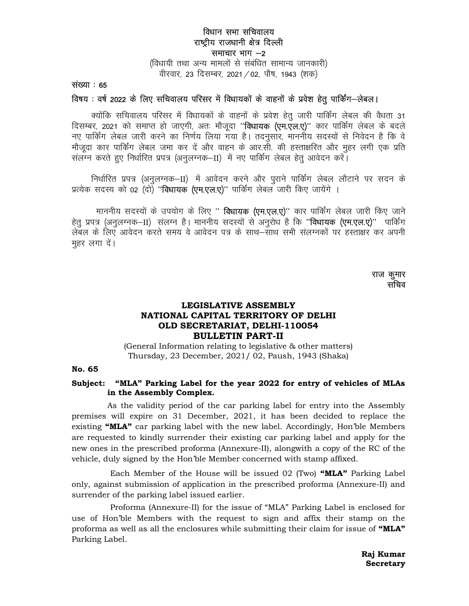## विधान सभा सचिवालय राष्ट्रीय राजधानी क्षेत्र दिल्ली समाचार भाग  $-2$

(विधायी तथा अन्य मामलों से संबंधित सामान्य जानकारी) वीरवार, 23 दिसम्बर, 2021 / 02, पौष, 1943 (शक)

संख्या  $: 65$ 

## विषय: वर्ष 2022 के लिए सचिवालय परिसर में विधायकों के वाहनों के प्रवेश हेतू पार्किंग-लेबल।

क्योंकि सचिवालय परिसर में विधायकों के वाहनों के प्रवेश हेतू जारी पार्किंग लेबल की वैधता 31 दिसम्बर, 2021 को समाप्त हो जाएगी, अतः मौजूदा "**विधायक (एम.एल.ए)**" कार पार्किंग लेबल के बदले नए पार्किंग लेबल जारी करने का निर्णय लिया गया है। तदनुसार, माननीय सदस्यों से निवेदन है कि वे मौजूदा कार पार्किंग लेबल जमा कर दें और वाहन के आर.सी. की हस्ताक्षरित और मुहर लगी एक प्रति संलग्न करते हुए निर्धारित प्रपत्र (अनुलग्नक–II) में नए पार्किंग लेबल हेतु आवेदन करें।

निर्धारित प्रपत्र (अनुलग्नक–II) में आवेदन करने और पुराने पार्किंग लेबल लौटाने पर सदन के प्रत्येक सदस्य को 02 (दो) "**विधायक (एम.एल.ए)**" पार्किंग लेबल जारी किए जायेंगे ।

माननीय सदस्यों के उपयोग के लिए " विधायक (एम.एल.ए)" कार पार्किंग लेबल जारी किए जाने हेतु प्रपत्र (अनुलग्नक-II) संलग्न है। माननीय सदस्यों से अनुरोध है कि "विधायक (एम.एल.ए)" पार्किंग लेबल के लिए आवेदन करते समय वे आवेदन पत्र के साथ–साथ सभी सलग्नकों पर हस्ताक्षर कर अपनी मुहर लगा दें।

> राज कुमार सचिव

# LEGISLATIVE ASSEMBLY NATIONAL CAPITAL TERRITORY OF DELHI OLD SECRETARIAT, DELHI-110054 **BULLETIN PART-II**

(General Information relating to legislative & other matters) Thursday, 23 December, 2021/02, Paush, 1943 (Shaka)

### No. 65

### Subject: "MLA" Parking Label for the year 2022 for entry of vehicles of MLAs in the Assembly Complex.

As the validity period of the car parking label for entry into the Assembly premises will expire on 31 December, 2021, it has been decided to replace the existing "MLA" car parking label with the new label. Accordingly, Hon'ble Members are requested to kindly surrender their existing car parking label and apply for the new ones in the prescribed proforma (Annexure-II), alongwith a copy of the RC of the vehicle, duly signed by the Hon'ble Member concerned with stamp affixed.

Each Member of the House will be issued  $02$  (Two) "MLA" Parking Label only, against submission of application in the prescribed proforma (Annexure-II) and surrender of the parking label issued earlier.

Proforma (Annexure-II) for the issue of "MLA" Parking Label is enclosed for use of Hon'ble Members with the request to sign and affix their stamp on the proforma as well as all the enclosures while submitting their claim for issue of "MLA" Parking Label.